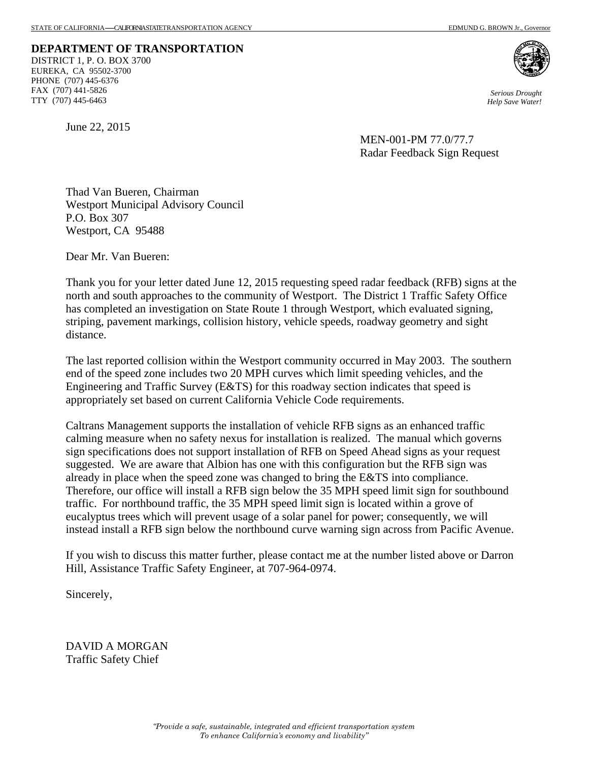**DEPARTMENT OF TRANSPORTATION**  DISTRICT 1, P. O. BOX 3700 EUREKA, CA 95502-3700 PHONE (707) 445-6376 FAX (707) 441-5826 TTY (707) 445-6463

 *Serious Drought Help Save Water!* 

June 22, 2015

 MEN-001-PM 77.0/77.7 Radar Feedback Sign Request

Thad Van Bueren, Chairman Westport Municipal Advisory Council P.O. Box 307 Westport, CA 95488

Dear Mr. Van Bueren:

Thank you for your letter dated June 12, 2015 requesting speed radar feedback (RFB) signs at the north and south approaches to the community of Westport. The District 1 Traffic Safety Office has completed an investigation on State Route 1 through Westport, which evaluated signing, striping, pavement markings, collision history, vehicle speeds, roadway geometry and sight distance.

The last reported collision within the Westport community occurred in May 2003. The southern end of the speed zone includes two 20 MPH curves which limit speeding vehicles, and the Engineering and Traffic Survey (E&TS) for this roadway section indicates that speed is appropriately set based on current California Vehicle Code requirements.

Caltrans Management supports the installation of vehicle RFB signs as an enhanced traffic calming measure when no safety nexus for installation is realized. The manual which governs sign specifications does not support installation of RFB on Speed Ahead signs as your request suggested. We are aware that Albion has one with this configuration but the RFB sign was already in place when the speed zone was changed to bring the E&TS into compliance. Therefore, our office will install a RFB sign below the 35 MPH speed limit sign for southbound traffic. For northbound traffic, the 35 MPH speed limit sign is located within a grove of eucalyptus trees which will prevent usage of a solar panel for power; consequently, we will instead install a RFB sign below the northbound curve warning sign across from Pacific Avenue.

If you wish to discuss this matter further, please contact me at the number listed above or Darron Hill, Assistance Traffic Safety Engineer, at 707-964-0974.

Sincerely,

DAVID A MORGAN Traffic Safety Chief